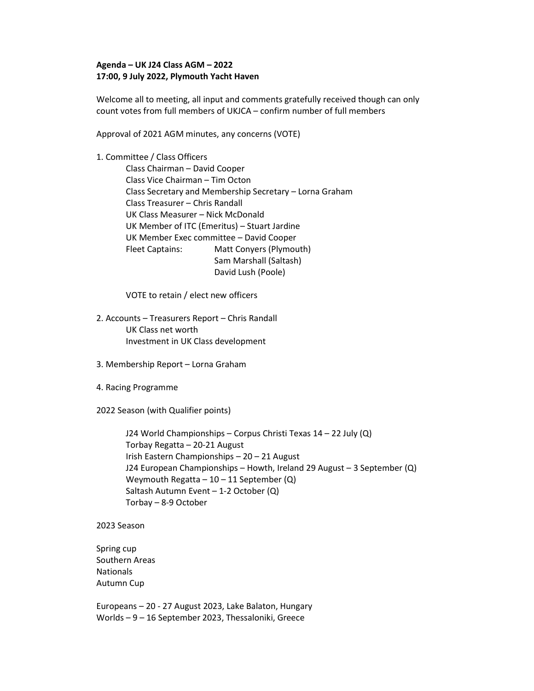## Agenda – UK J24 Class AGM – 2022 17:00, 9 July 2022, Plymouth Yacht Haven

Welcome all to meeting, all input and comments gratefully received though can only count votes from full members of UKJCA – confirm number of full members

Approval of 2021 AGM minutes, any concerns (VOTE)

1. Committee / Class Officers Class Chairman – David Cooper Class Vice Chairman – Tim Octon Class Secretary and Membership Secretary – Lorna Graham Class Treasurer – Chris Randall UK Class Measurer – Nick McDonald UK Member of ITC (Emeritus) – Stuart Jardine UK Member Exec committee – David Cooper Fleet Captains: Matt Conyers (Plymouth) Sam Marshall (Saltash) David Lush (Poole)

VOTE to retain / elect new officers

- 2. Accounts Treasurers Report Chris Randall UK Class net worth Investment in UK Class development
- 3. Membership Report Lorna Graham
- 4. Racing Programme

2022 Season (with Qualifier points)

J24 World Championships – Corpus Christi Texas 14 – 22 July (Q) Torbay Regatta – 20-21 August Irish Eastern Championships – 20 – 21 August J24 European Championships – Howth, Ireland 29 August – 3 September (Q) Weymouth Regatta  $-10-11$  September (Q) Saltash Autumn Event – 1-2 October (Q) Torbay – 8-9 October

2023 Season

Spring cup Southern Areas **Nationals** Autumn Cup

Europeans – 20 - 27 August 2023, Lake Balaton, Hungary Worlds – 9 – 16 September 2023, Thessaloniki, Greece